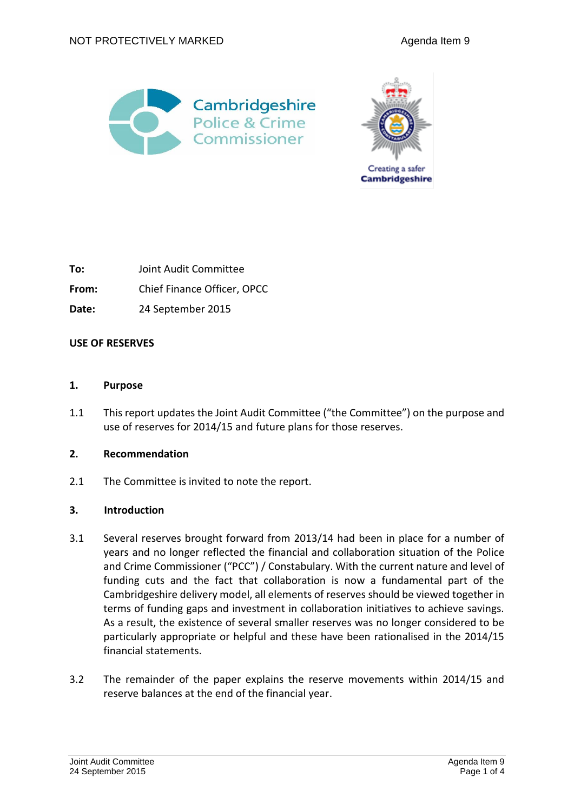



**To:** Joint Audit Committee **From:** Chief Finance Officer, OPCC **Date:** 24 September 2015

### **USE OF RESERVES**

### **1. Purpose**

1.1 This report updates the Joint Audit Committee ("the Committee") on the purpose and use of reserves for 2014/15 and future plans for those reserves.

#### **2. Recommendation**

2.1 The Committee is invited to note the report.

#### **3. Introduction**

- 3.1 Several reserves brought forward from 2013/14 had been in place for a number of years and no longer reflected the financial and collaboration situation of the Police and Crime Commissioner ("PCC") / Constabulary. With the current nature and level of funding cuts and the fact that collaboration is now a fundamental part of the Cambridgeshire delivery model, all elements of reserves should be viewed together in terms of funding gaps and investment in collaboration initiatives to achieve savings. As a result, the existence of several smaller reserves was no longer considered to be particularly appropriate or helpful and these have been rationalised in the 2014/15 financial statements.
- 3.2 The remainder of the paper explains the reserve movements within 2014/15 and reserve balances at the end of the financial year.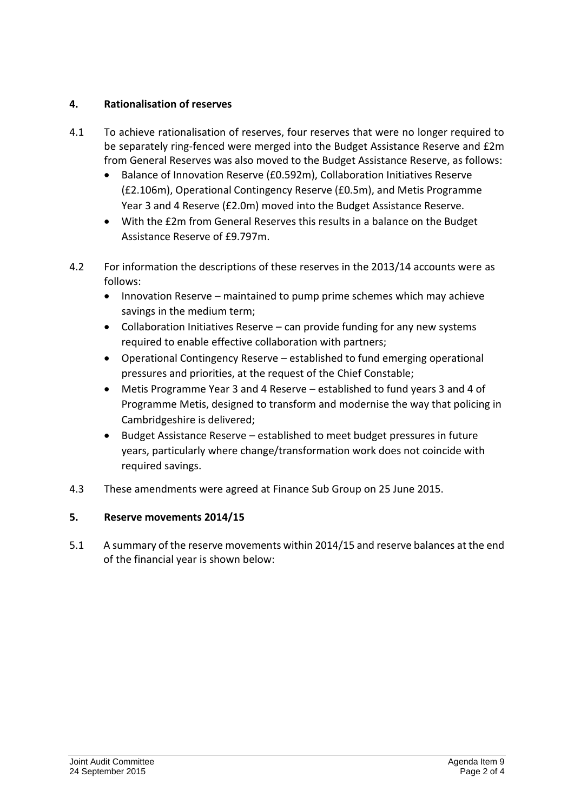# **4. Rationalisation of reserves**

- 4.1 To achieve rationalisation of reserves, four reserves that were no longer required to be separately ring-fenced were merged into the Budget Assistance Reserve and £2m from General Reserves was also moved to the Budget Assistance Reserve, as follows:
	- Balance of Innovation Reserve (£0.592m), Collaboration Initiatives Reserve (£2.106m), Operational Contingency Reserve (£0.5m), and Metis Programme Year 3 and 4 Reserve (£2.0m) moved into the Budget Assistance Reserve.
	- With the £2m from General Reserves this results in a balance on the Budget Assistance Reserve of £9.797m.
- 4.2 For information the descriptions of these reserves in the 2013/14 accounts were as follows:
	- Innovation Reserve maintained to pump prime schemes which may achieve savings in the medium term;
	- Collaboration Initiatives Reserve can provide funding for any new systems required to enable effective collaboration with partners;
	- Operational Contingency Reserve established to fund emerging operational pressures and priorities, at the request of the Chief Constable;
	- Metis Programme Year 3 and 4 Reserve established to fund years 3 and 4 of Programme Metis, designed to transform and modernise the way that policing in Cambridgeshire is delivered;
	- Budget Assistance Reserve established to meet budget pressures in future years, particularly where change/transformation work does not coincide with required savings.
- 4.3 These amendments were agreed at Finance Sub Group on 25 June 2015.

# **5. Reserve movements 2014/15**

5.1 A summary of the reserve movements within 2014/15 and reserve balances at the end of the financial year is shown below: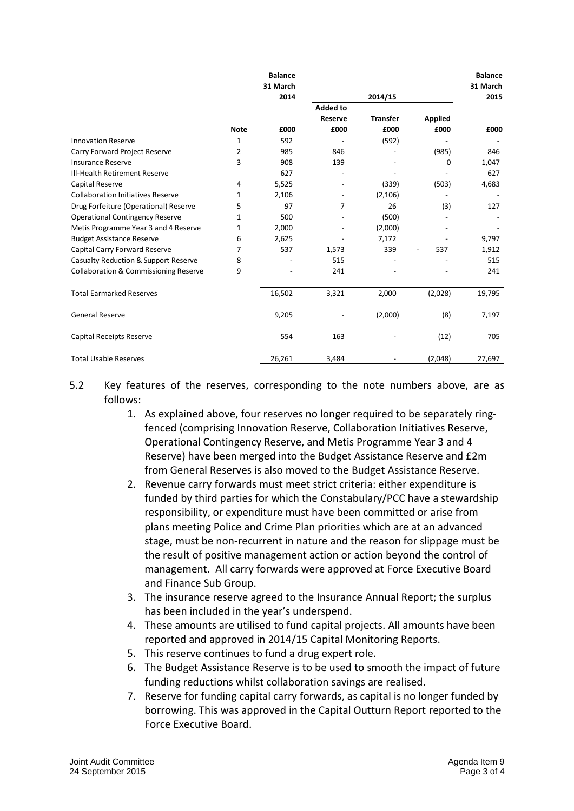|                                                  |             | <b>Balance</b><br>31 March |                 |                          |                | <b>Balance</b><br>31 March |
|--------------------------------------------------|-------------|----------------------------|-----------------|--------------------------|----------------|----------------------------|
|                                                  | 2014        |                            | 2014/15         |                          |                | 2015                       |
|                                                  |             |                            | <b>Added to</b> |                          |                |                            |
|                                                  |             |                            | <b>Reserve</b>  | <b>Transfer</b>          | <b>Applied</b> |                            |
|                                                  | <b>Note</b> | £000                       | £000            | £000                     | £000           | £000                       |
| <b>Innovation Reserve</b>                        | 1           | 592                        |                 | (592)                    |                |                            |
| Carry Forward Project Reserve                    | 2           | 985                        | 846             |                          | (985)          | 846                        |
| <b>Insurance Reserve</b>                         | 3           | 908                        | 139             |                          | 0              | 1,047                      |
| Ill-Health Retirement Reserve                    |             | 627                        |                 |                          |                | 627                        |
| Capital Reserve                                  | 4           | 5,525                      |                 | (339)                    | (503)          | 4,683                      |
| <b>Collaboration Initiatives Reserve</b>         | 1           | 2,106                      |                 | (2,106)                  |                |                            |
| Drug Forfeiture (Operational) Reserve            | 5           | 97                         | 7               | 26                       | (3)            | 127                        |
| <b>Operational Contingency Reserve</b>           | 1           | 500                        |                 | (500)                    |                |                            |
| Metis Programme Year 3 and 4 Reserve             | 1           | 2,000                      |                 | (2,000)                  |                |                            |
| <b>Budget Assistance Reserve</b>                 | 6           | 2,625                      |                 | 7,172                    |                | 9,797                      |
| Capital Carry Forward Reserve                    | 7           | 537                        | 1,573           | 339                      | 537            | 1,912                      |
| Casualty Reduction & Support Reserve             | 8           |                            | 515             |                          |                | 515                        |
| <b>Collaboration &amp; Commissioning Reserve</b> | 9           |                            | 241             |                          |                | 241                        |
| <b>Total Earmarked Reserves</b>                  |             | 16,502                     | 3,321           | 2,000                    | (2,028)        | 19,795                     |
| <b>General Reserve</b>                           |             | 9,205                      |                 | (2,000)                  | (8)            | 7,197                      |
| Capital Receipts Reserve                         |             | 554                        | 163             |                          | (12)           | 705                        |
| <b>Total Usable Reserves</b>                     |             | 26,261                     | 3,484           | $\overline{\phantom{a}}$ | (2,048)        | 27,697                     |

- 5.2 Key features of the reserves, corresponding to the note numbers above, are as follows:
	- 1. As explained above, four reserves no longer required to be separately ringfenced (comprising Innovation Reserve, Collaboration Initiatives Reserve, Operational Contingency Reserve, and Metis Programme Year 3 and 4 Reserve) have been merged into the Budget Assistance Reserve and £2m from General Reserves is also moved to the Budget Assistance Reserve.
	- 2. Revenue carry forwards must meet strict criteria: either expenditure is funded by third parties for which the Constabulary/PCC have a stewardship responsibility, or expenditure must have been committed or arise from plans meeting Police and Crime Plan priorities which are at an advanced stage, must be non-recurrent in nature and the reason for slippage must be the result of positive management action or action beyond the control of management. All carry forwards were approved at Force Executive Board and Finance Sub Group.
	- 3. The insurance reserve agreed to the Insurance Annual Report; the surplus has been included in the year's underspend.
	- 4. These amounts are utilised to fund capital projects. All amounts have been reported and approved in 2014/15 Capital Monitoring Reports.
	- 5. This reserve continues to fund a drug expert role.
	- 6. The Budget Assistance Reserve is to be used to smooth the impact of future funding reductions whilst collaboration savings are realised.
	- 7. Reserve for funding capital carry forwards, as capital is no longer funded by borrowing. This was approved in the Capital Outturn Report reported to the Force Executive Board.